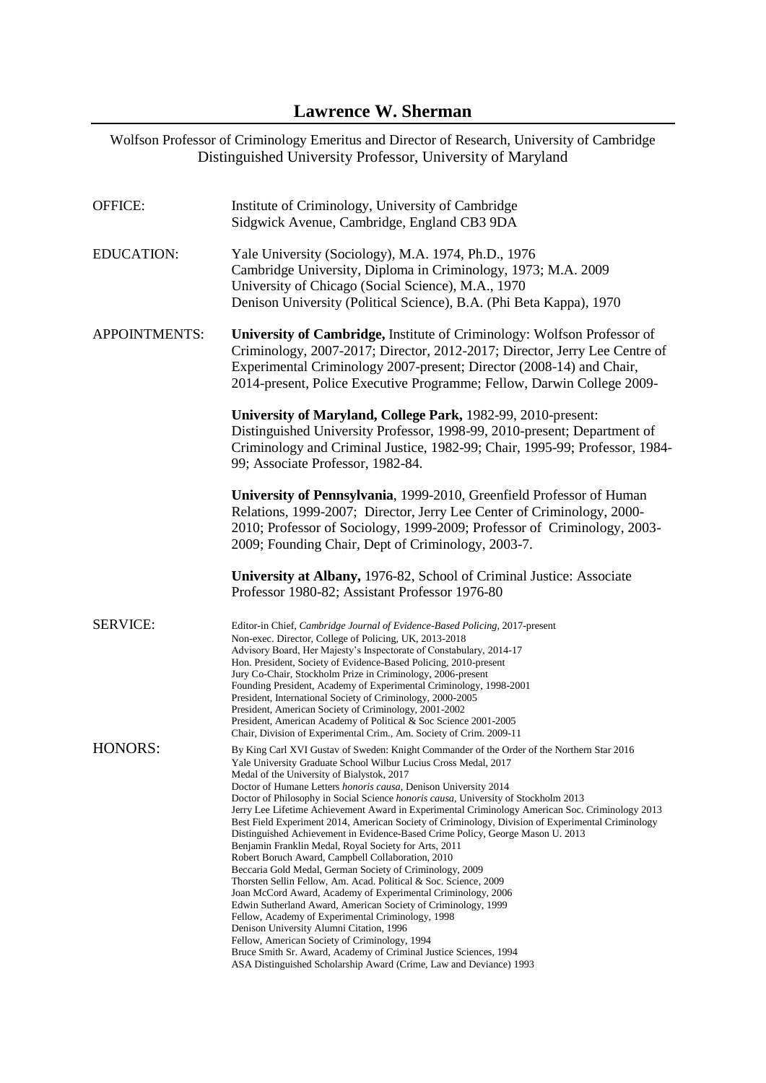# Wolfson Professor of Criminology Emeritus and Director of Research, University of Cambridge Distinguished University Professor, University of Maryland

| <b>OFFICE:</b>       | Institute of Criminology, University of Cambridge<br>Sidgwick Avenue, Cambridge, England CB3 9DA                                                                                                                                                                                                                                                                                                                                                                                                                                                                                                                                                                                                                                                                                                                                                                                                                                                                                                                                                                                                                                                                                                                                                                                                                                                   |
|----------------------|----------------------------------------------------------------------------------------------------------------------------------------------------------------------------------------------------------------------------------------------------------------------------------------------------------------------------------------------------------------------------------------------------------------------------------------------------------------------------------------------------------------------------------------------------------------------------------------------------------------------------------------------------------------------------------------------------------------------------------------------------------------------------------------------------------------------------------------------------------------------------------------------------------------------------------------------------------------------------------------------------------------------------------------------------------------------------------------------------------------------------------------------------------------------------------------------------------------------------------------------------------------------------------------------------------------------------------------------------|
| <b>EDUCATION:</b>    | Yale University (Sociology), M.A. 1974, Ph.D., 1976<br>Cambridge University, Diploma in Criminology, 1973; M.A. 2009<br>University of Chicago (Social Science), M.A., 1970<br>Denison University (Political Science), B.A. (Phi Beta Kappa), 1970                                                                                                                                                                                                                                                                                                                                                                                                                                                                                                                                                                                                                                                                                                                                                                                                                                                                                                                                                                                                                                                                                                  |
| <b>APPOINTMENTS:</b> | University of Cambridge, Institute of Criminology: Wolfson Professor of<br>Criminology, 2007-2017; Director, 2012-2017; Director, Jerry Lee Centre of<br>Experimental Criminology 2007-present; Director (2008-14) and Chair,<br>2014-present, Police Executive Programme; Fellow, Darwin College 2009-                                                                                                                                                                                                                                                                                                                                                                                                                                                                                                                                                                                                                                                                                                                                                                                                                                                                                                                                                                                                                                            |
|                      | University of Maryland, College Park, 1982-99, 2010-present:<br>Distinguished University Professor, 1998-99, 2010-present; Department of<br>Criminology and Criminal Justice, 1982-99; Chair, 1995-99; Professor, 1984-<br>99; Associate Professor, 1982-84.                                                                                                                                                                                                                                                                                                                                                                                                                                                                                                                                                                                                                                                                                                                                                                                                                                                                                                                                                                                                                                                                                       |
|                      | University of Pennsylvania, 1999-2010, Greenfield Professor of Human<br>Relations, 1999-2007; Director, Jerry Lee Center of Criminology, 2000-<br>2010; Professor of Sociology, 1999-2009; Professor of Criminology, 2003-<br>2009; Founding Chair, Dept of Criminology, 2003-7.                                                                                                                                                                                                                                                                                                                                                                                                                                                                                                                                                                                                                                                                                                                                                                                                                                                                                                                                                                                                                                                                   |
|                      | University at Albany, 1976-82, School of Criminal Justice: Associate<br>Professor 1980-82; Assistant Professor 1976-80                                                                                                                                                                                                                                                                                                                                                                                                                                                                                                                                                                                                                                                                                                                                                                                                                                                                                                                                                                                                                                                                                                                                                                                                                             |
| <b>SERVICE:</b>      | Editor-in Chief, Cambridge Journal of Evidence-Based Policing, 2017-present<br>Non-exec. Director, College of Policing, UK, 2013-2018<br>Advisory Board, Her Majesty's Inspectorate of Constabulary, 2014-17<br>Hon. President, Society of Evidence-Based Policing, 2010-present<br>Jury Co-Chair, Stockholm Prize in Criminology, 2006-present<br>Founding President, Academy of Experimental Criminology, 1998-2001<br>President, International Society of Criminology, 2000-2005<br>President, American Society of Criminology, 2001-2002<br>President, American Academy of Political & Soc Science 2001-2005<br>Chair, Division of Experimental Crim., Am. Society of Crim. 2009-11                                                                                                                                                                                                                                                                                                                                                                                                                                                                                                                                                                                                                                                            |
| <b>HONORS:</b>       | By King Carl XVI Gustav of Sweden: Knight Commander of the Order of the Northern Star 2016<br>Yale University Graduate School Wilbur Lucius Cross Medal, 2017<br>Medal of the University of Bialystok, 2017<br>Doctor of Humane Letters <i>honoris causa</i> , Denison University 2014<br>Doctor of Philosophy in Social Science honoris causa, University of Stockholm 2013<br>Jerry Lee Lifetime Achievement Award in Experimental Criminology American Soc. Criminology 2013<br>Best Field Experiment 2014, American Society of Criminology, Division of Experimental Criminology<br>Distinguished Achievement in Evidence-Based Crime Policy, George Mason U. 2013<br>Benjamin Franklin Medal, Royal Society for Arts, 2011<br>Robert Boruch Award, Campbell Collaboration, 2010<br>Beccaria Gold Medal, German Society of Criminology, 2009<br>Thorsten Sellin Fellow, Am. Acad. Political & Soc. Science, 2009<br>Joan McCord Award, Academy of Experimental Criminology, 2006<br>Edwin Sutherland Award, American Society of Criminology, 1999<br>Fellow, Academy of Experimental Criminology, 1998<br>Denison University Alumni Citation, 1996<br>Fellow, American Society of Criminology, 1994<br>Bruce Smith Sr. Award, Academy of Criminal Justice Sciences, 1994<br>ASA Distinguished Scholarship Award (Crime, Law and Deviance) 1993 |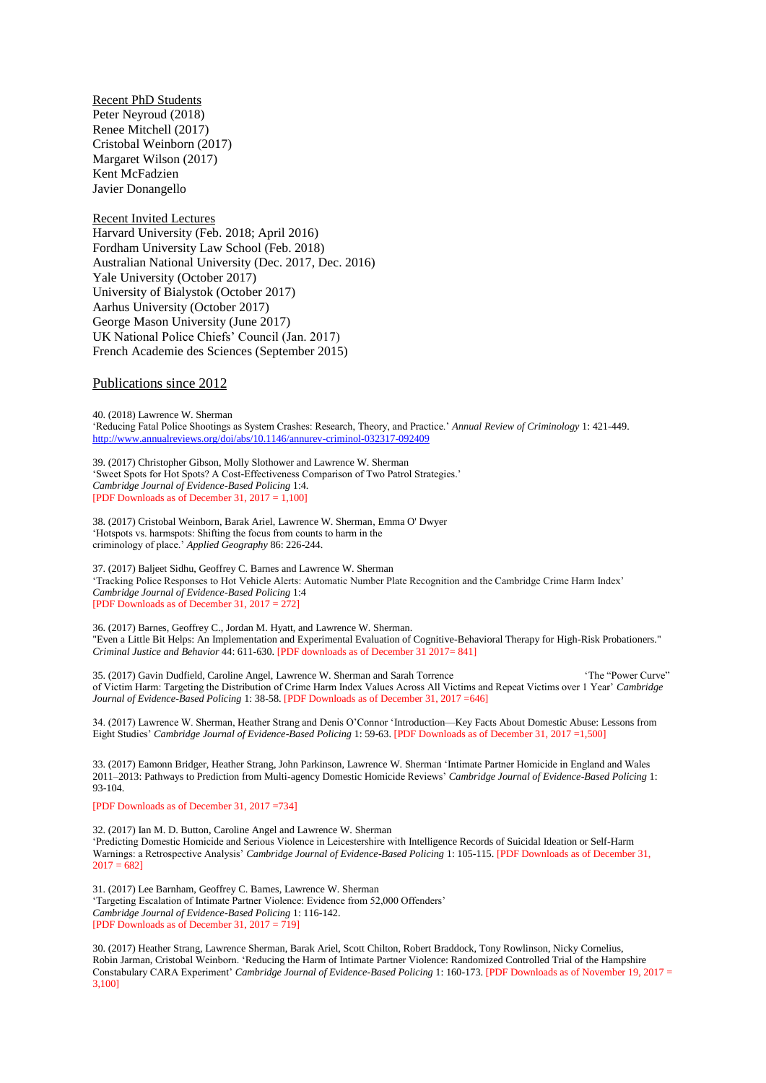Recent PhD Students Peter Neyroud (2018) Renee Mitchell (2017) Cristobal Weinborn (2017) Margaret Wilson (2017) Kent McFadzien Javier Donangello

Recent Invited Lectures Harvard University (Feb. 2018; April 2016) Fordham University Law School (Feb. 2018) Australian National University (Dec. 2017, Dec. 2016) Yale University (October 2017) University of Bialystok (October 2017) Aarhus University (October 2017) George Mason University (June 2017) UK National Police Chiefs' Council (Jan. 2017) French Academie des Sciences (September 2015)

# Publications since 2012

40. (2018) Lawrence W. Sherman 'Reducing Fatal Police Shootings as System Crashes: Research, Theory, and Practice.' *Annual Review of Criminology* 1: 421-449. <http://www.annualreviews.org/doi/abs/10.1146/annurev-criminol-032317-092409>

39. (2017) Christopher Gibson, Molly Slothower and Lawrence W. Sherman 'Sweet Spots for Hot Spots? A Cost-Effectiveness Comparison of Two Patrol Strategies.' *Cambridge Journal of Evidence-Based Policing* 1:4. [PDF Downloads as of December 31, 2017 = 1,100]

38. (2017) Cristobal Weinborn, Barak Ariel, Lawrence W. Sherman, Emma O' Dwyer 'Hotspots vs. harmspots: Shifting the focus from counts to harm in the criminology of place.' *Applied Geography* 86: 226-244.

37. (2017) Baljeet Sidhu, Geoffrey C. Barnes and Lawrence W. Sherman 'Tracking Police Responses to Hot Vehicle Alerts: Automatic Number Plate Recognition and the Cambridge Crime Harm Index' *Cambridge Journal of Evidence-Based Policing* 1:4 [PDF Downloads as of December 31, 2017 = 272]

36. (2017) Barnes, Geoffrey C., Jordan M. Hyatt, and Lawrence W. Sherman. "Even a Little Bit Helps: An Implementation and Experimental Evaluation of Cognitive-Behavioral Therapy for High-Risk Probationers." *Criminal Justice and Behavior* 44: 611-630. [PDF downloads as of December 31 2017= 841]

35. (2017) Gavin Dudfield, Caroline Angel, Lawrence W. Sherman and Sarah Torrence 'The "Power Curve" of Victim Harm: Targeting the Distribution of Crime Harm Index Values Across All Victims and Repeat Victims over 1 Year' *Cambridge Journal of Evidence-Based Policing* 1: 38-58. [PDF Downloads as of December 31, 2017 =646]

34. (2017) Lawrence W. Sherman, Heather Strang and Denis O'Connor 'Introduction—Key Facts About Domestic Abuse: Lessons from Eight Studies' *Cambridge Journal of Evidence-Based Policing* 1: 59-63. [PDF Downloads as of December 31, 2017 =1,500]

33. (2017) Eamonn Bridger, Heather Strang, John Parkinson, Lawrence W. Sherman 'Intimate Partner Homicide in England and Wales 2011–2013: Pathways to Prediction from Multi-agency Domestic Homicide Reviews' *Cambridge Journal of Evidence-Based Policing* 1: 93-104.

[PDF Downloads as of December 31, 2017 =734]

32. (2017) Ian M. D. Button, Caroline Angel and Lawrence W. Sherman 'Predicting Domestic Homicide and Serious Violence in Leicestershire with Intelligence Records of Suicidal Ideation or Self-Harm Warnings: a Retrospective Analysis' *Cambridge Journal of Evidence-Based Policing* 1: 105-115. [PDF Downloads as of December 31,  $2017 = 682$ 

31. (2017) Lee Barnham, Geoffrey C. Barnes, Lawrence W. Sherman 'Targeting Escalation of Intimate Partner Violence: Evidence from 52,000 Offenders' *Cambridge Journal of Evidence-Based Policing* 1: 116-142. **[PDF Downloads as of December 31, 2017 = 719]** 

30. (2017) Heather Strang, Lawrence Sherman, Barak Ariel, Scott Chilton, Robert Braddock, Tony Rowlinson, Nicky Cornelius, Robin Jarman, Cristobal Weinborn. 'Reducing the Harm of Intimate Partner Violence: Randomized Controlled Trial of the Hampshire Constabulary CARA Experiment' *Cambridge Journal of Evidence-Based Policing* 1: 160-173. [PDF Downloads as of November 19, 2017 = 3,100]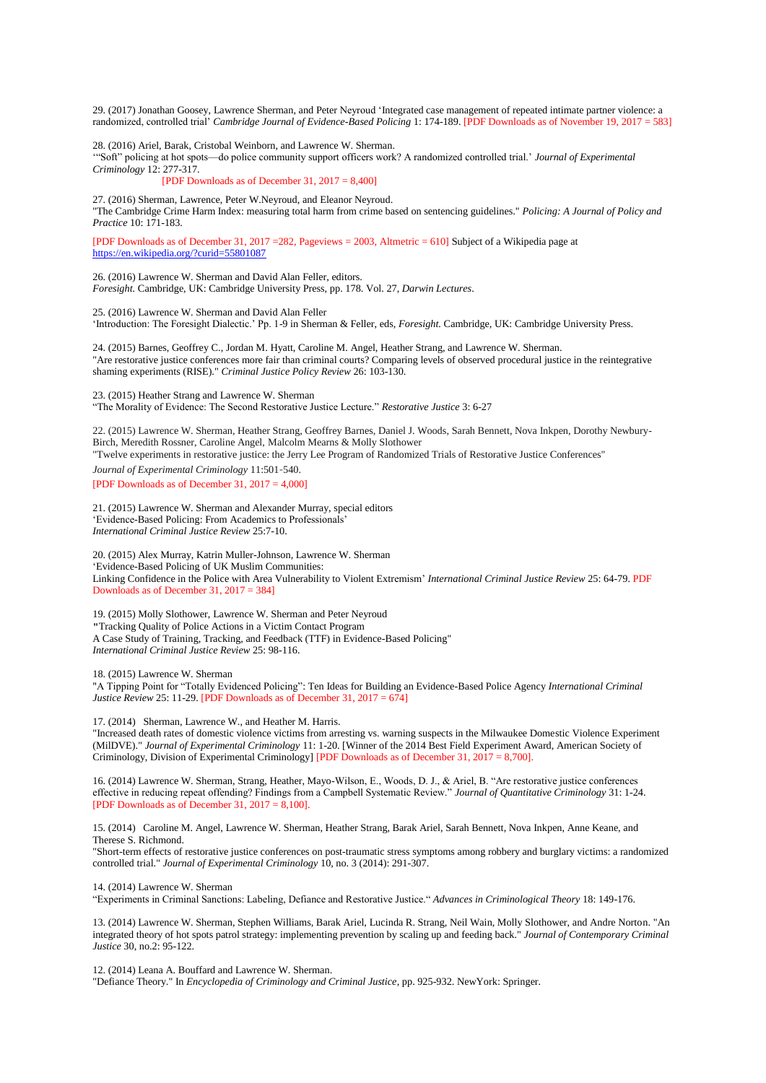29. (2017) Jonathan Goosey, Lawrence Sherman, and Peter Neyroud 'Integrated case management of repeated intimate partner violence: a randomized, controlled trial' *Cambridge Journal of Evidence-Based Policing* 1: 174-189. [PDF Downloads as of November 19, 2017 = 583]

28. (2016) Ariel, Barak, Cristobal Weinborn, and Lawrence W. Sherman.

'"Soft" policing at hot spots—do police community support officers work? A randomized controlled trial.' *Journal of Experimental Criminology* 12: 277-317.

[PDF Downloads as of December 31, 2017 = 8,400]

27. (2016) Sherman, Lawrence, Peter W.Neyroud, and Eleanor Neyroud. "The Cambridge Crime Harm Index: measuring total harm from crime based on sentencing guidelines." *Policing: A Journal of Policy and Practice* 10: 171-183.

[PDF Downloads as of December 31, 2017 =282, Pageviews = 2003, Altmetric = 610] Subject of a Wikipedia page at <https://en.wikipedia.org/?curid=55801087>

26. (2016) Lawrence W. Sherman and David Alan Feller, editors. *Foresight.* Cambridge, UK: Cambridge University Press, pp. 178. Vol. 27, *Darwin Lectures*.

25. (2016) Lawrence W. Sherman and David Alan Feller 'Introduction: The Foresight Dialectic.' Pp. 1-9 in Sherman & Feller, eds, *Foresight.* Cambridge, UK: Cambridge University Press.

24. (2015) Barnes, Geoffrey C., Jordan M. Hyatt, Caroline M. Angel, Heather Strang, and Lawrence W. Sherman. "Are restorative justice conferences more fair than criminal courts? Comparing levels of observed procedural justice in the reintegrative shaming experiments (RISE)." *Criminal Justice Policy Review* 26: 103-130.

23. (2015) Heather Strang and Lawrence W. Sherman

"The Morality of Evidence: The Second Restorative Justice Lecture." *Restorative Justice* 3: 6-27

22. (2015) Lawrence W. Sherman, Heather Strang, Geoffrey Barnes, Daniel J. Woods, Sarah Bennett, Nova Inkpen, Dorothy Newbury-Birch, Meredith Rossner, Caroline Angel, Malcolm Mearns & Molly Slothower

"Twelve experiments in restorative justice: the Jerry Lee Program of Randomized Trials of Restorative Justice Conferences"

*Journal of Experimental Criminology* 11:501-540. [PDF Downloads as of December 31, 2017 = 4,000]

21. (2015) Lawrence W. Sherman and Alexander Murray, special editors 'Evidence-Based Policing: From Academics to Professionals' *International Criminal Justice Review* 25:7-10.

20. (2015) Alex Murray, Katrin Muller-Johnson, Lawrence W. Sherman 'Evidence-Based Policing of UK Muslim Communities: Linking Confidence in the Police with Area Vulnerability to Violent Extremism' *International Criminal Justice Review* 25: 64-79. PDF Downloads as of December 31, 2017 = 384]

19. (2015) Molly Slothower, Lawrence W. Sherman and Peter Neyroud "Tracking Quality of Police Actions in a Victim Contact Program A Case Study of Training, Tracking, and Feedback (TTF) in Evidence-Based Policing" *International Criminal Justice Review* 25: 98-116.

18. (2015) Lawrence W. Sherman

"A Tipping Point for "Totally Evidenced Policing": Ten Ideas for Building an Evidence-Based Police Agency *International Criminal Justice Review* 25: 11-29. **[PDF Downloads as of December 31, 2017 = 674]** 

17. (2014) Sherman, Lawrence W., and Heather M. Harris.

"Increased death rates of domestic violence victims from arresting vs. warning suspects in the Milwaukee Domestic Violence Experiment (MilDVE)." *Journal of Experimental Criminology* 11: 1-20. [Winner of the 2014 Best Field Experiment Award, American Society of Criminology, Division of Experimental Criminology] [PDF Downloads as of December 31, 2017 = 8,700].

16. (2014) Lawrence W. Sherman, Strang, Heather, Mayo-Wilson, E., Woods, D. J., & Ariel, B. "Are restorative justice conferences effective in reducing repeat offending? Findings from a Campbell Systematic Review." *Journal of Quantitative Criminology* 31: 1-24. [PDF Downloads as of December 31, 2017 = 8,100].

15. (2014) Caroline M. Angel, Lawrence W. Sherman, Heather Strang, Barak Ariel, Sarah Bennett, Nova Inkpen, Anne Keane, and Therese S. Richmond.

"Short-term effects of restorative justice conferences on post-traumatic stress symptoms among robbery and burglary victims: a randomized controlled trial." *Journal of Experimental Criminology* 10, no. 3 (2014): 291-307.

14. (2014) Lawrence W. Sherman

"Experiments in Criminal Sanctions: Labeling, Defiance and Restorative Justice." *Advances in Criminological Theory* 18: 149-176.

13. (2014) Lawrence W. Sherman, Stephen Williams, Barak Ariel, Lucinda R. Strang, Neil Wain, Molly Slothower, and Andre Norton. "An integrated theory of hot spots patrol strategy: implementing prevention by scaling up and feeding back." *Journal of Contemporary Criminal Justice* 30, no.2: 95-122.

12. (2014) Leana A. Bouffard and Lawrence W. Sherman. "Defiance Theory." In *Encyclopedia of Criminology and Criminal Justice*, pp. 925-932. NewYork: Springer.